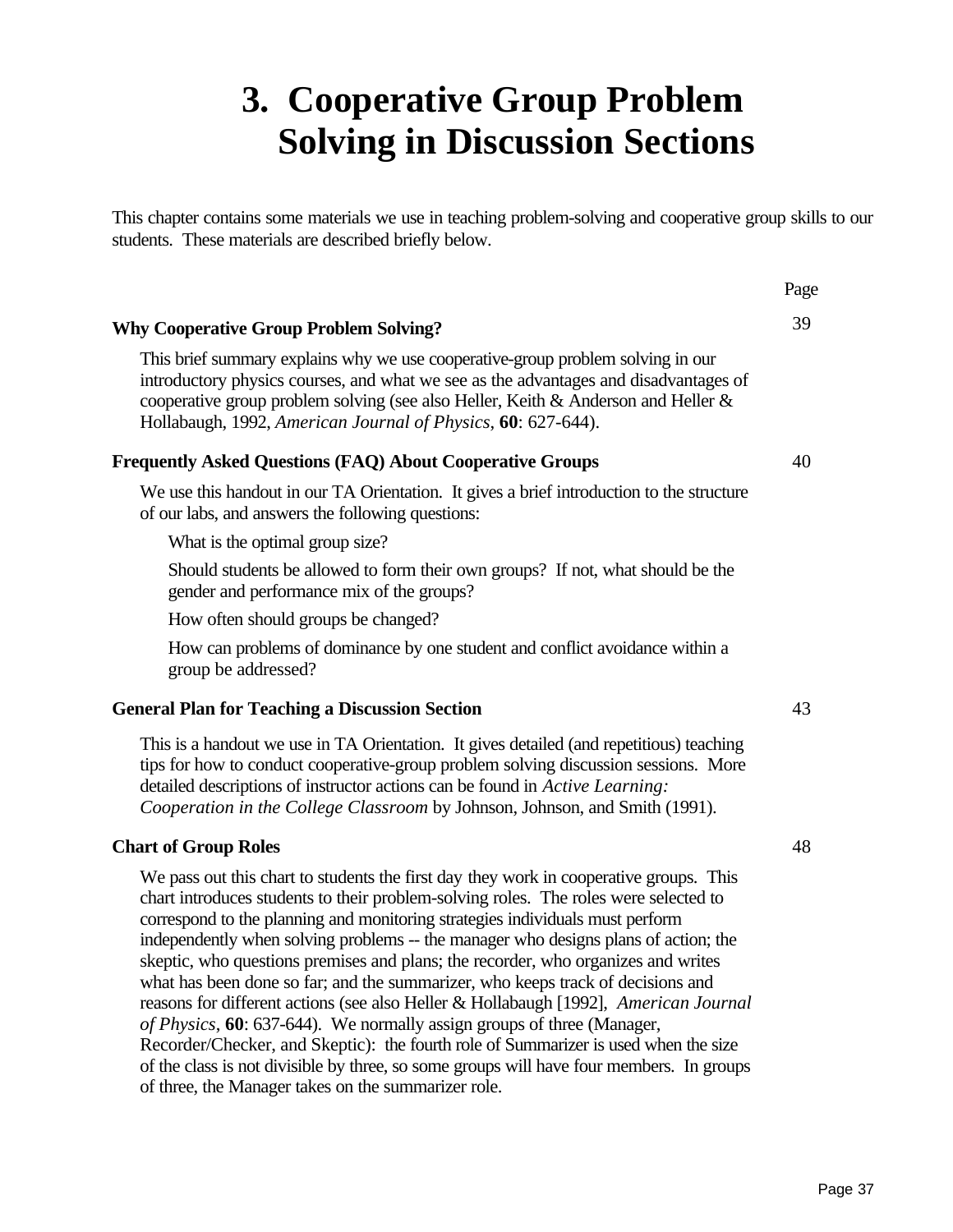# **3. Cooperative Group Problem Solving in Discussion Sections**

This chapter contains some materials we use in teaching problem-solving and cooperative group skills to our students. These materials are described briefly below.

### **Why Cooperative Group Problem Solving?**

This brief summary explains why we use cooperative-group problem solving in our introductory physics courses, and what we see as the advantages and disadvantages of cooperative group problem solving (see also Heller, Keith & Anderson and Heller & Hollabaugh, 1992, *American Journal of Physics*, **60**: 627-644).

### **Frequently Asked Questions (FAQ) About Cooperative Groups**

We use this handout in our TA Orientation. It gives a brief introduction to the structure of our labs, and answers the following questions:

What is the optimal group size?

Should students be allowed to form their own groups? If not, what should be the gender and performance mix of the groups?

How often should groups be changed?

How can problems of dominance by one student and conflict avoidance within a group be addressed?

#### **General Plan for Teaching a Discussion Section**

This is a handout we use in TA Orientation. It gives detailed (and repetitious) teaching tips for how to conduct cooperative-group problem solving discussion sessions. More detailed descriptions of instructor actions can be found in *Active Learning: Cooperation in the College Classroom* by Johnson, Johnson, and Smith (1991).

### **Chart of Group Roles**

We pass out this chart to students the first day they work in cooperative groups. This chart introduces students to their problem-solving roles. The roles were selected to correspond to the planning and monitoring strategies individuals must perform independently when solving problems -- the manager who designs plans of action; the skeptic, who questions premises and plans; the recorder, who organizes and writes what has been done so far; and the summarizer, who keeps track of decisions and reasons for different actions (see also Heller & Hollabaugh [1992], *American Journal of Physics*, **60**: 637-644). We normally assign groups of three (Manager, Recorder/Checker, and Skeptic): the fourth role of Summarizer is used when the size of the class is not divisible by three, so some groups will have four members. In groups of three, the Manager takes on the summarizer role.

48

43

Page

39

40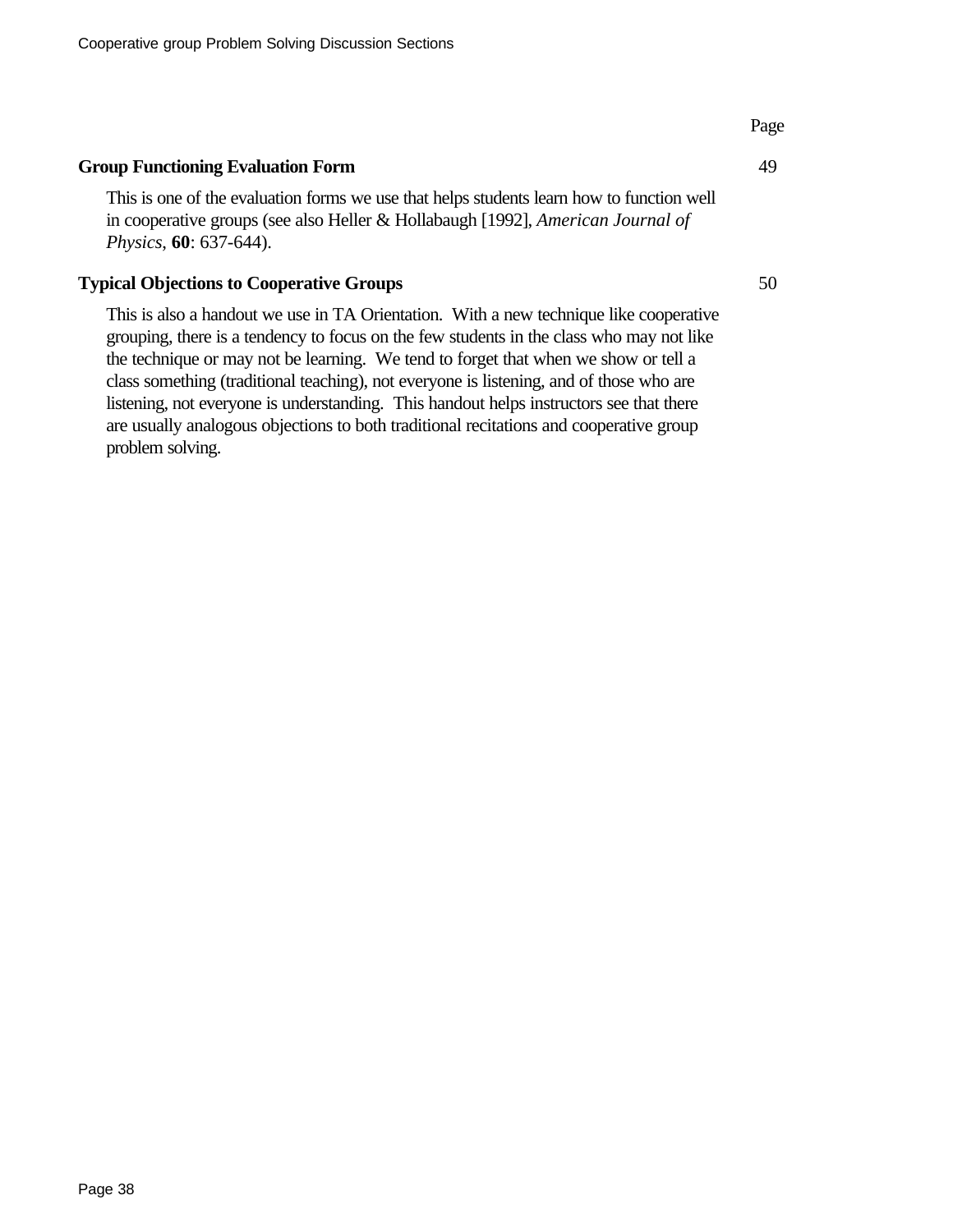### **Group Functioning Evaluation Form**

This is one of the evaluation forms we use that helps students learn how to function well in cooperative groups (see also Heller & Hollabaugh [1992], *American Journal of Physics*, **60**: 637-644).

### **Typical Objections to Cooperative Groups**

This is also a handout we use in TA Orientation. With a new technique like cooperative grouping, there is a tendency to focus on the few students in the class who may not like the technique or may not be learning. We tend to forget that when we show or tell a class something (traditional teaching), not everyone is listening, and of those who are listening, not everyone is understanding. This handout helps instructors see that there are usually analogous objections to both traditional recitations and cooperative group problem solving.

Page

49

50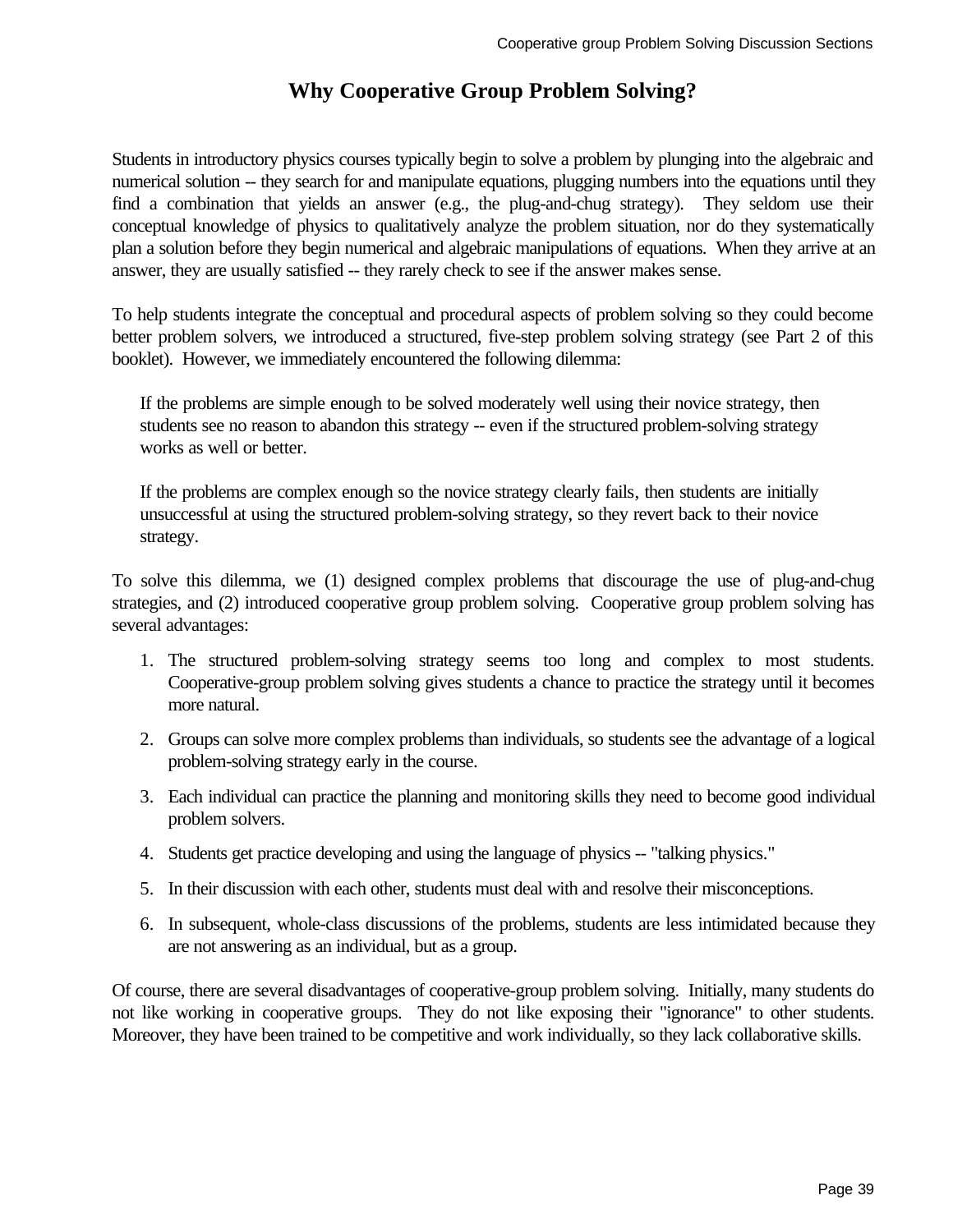### **Why Cooperative Group Problem Solving?**

Students in introductory physics courses typically begin to solve a problem by plunging into the algebraic and numerical solution -- they search for and manipulate equations, plugging numbers into the equations until they find a combination that yields an answer (e.g., the plug-and-chug strategy). They seldom use their conceptual knowledge of physics to qualitatively analyze the problem situation, nor do they systematically plan a solution before they begin numerical and algebraic manipulations of equations. When they arrive at an answer, they are usually satisfied -- they rarely check to see if the answer makes sense.

To help students integrate the conceptual and procedural aspects of problem solving so they could become better problem solvers, we introduced a structured, five-step problem solving strategy (see Part 2 of this booklet). However, we immediately encountered the following dilemma:

If the problems are simple enough to be solved moderately well using their novice strategy, then students see no reason to abandon this strategy -- even if the structured problem-solving strategy works as well or better.

If the problems are complex enough so the novice strategy clearly fails, then students are initially unsuccessful at using the structured problem-solving strategy, so they revert back to their novice strategy.

To solve this dilemma, we (1) designed complex problems that discourage the use of plug-and-chug strategies, and (2) introduced cooperative group problem solving. Cooperative group problem solving has several advantages:

- 1. The structured problem-solving strategy seems too long and complex to most students. Cooperative-group problem solving gives students a chance to practice the strategy until it becomes more natural.
- 2. Groups can solve more complex problems than individuals, so students see the advantage of a logical problem-solving strategy early in the course.
- 3. Each individual can practice the planning and monitoring skills they need to become good individual problem solvers.
- 4. Students get practice developing and using the language of physics -- "talking physics."
- 5. In their discussion with each other, students must deal with and resolve their misconceptions.
- 6. In subsequent, whole-class discussions of the problems, students are less intimidated because they are not answering as an individual, but as a group.

Of course, there are several disadvantages of cooperative-group problem solving. Initially, many students do not like working in cooperative groups. They do not like exposing their "ignorance" to other students. Moreover, they have been trained to be competitive and work individually, so they lack collaborative skills.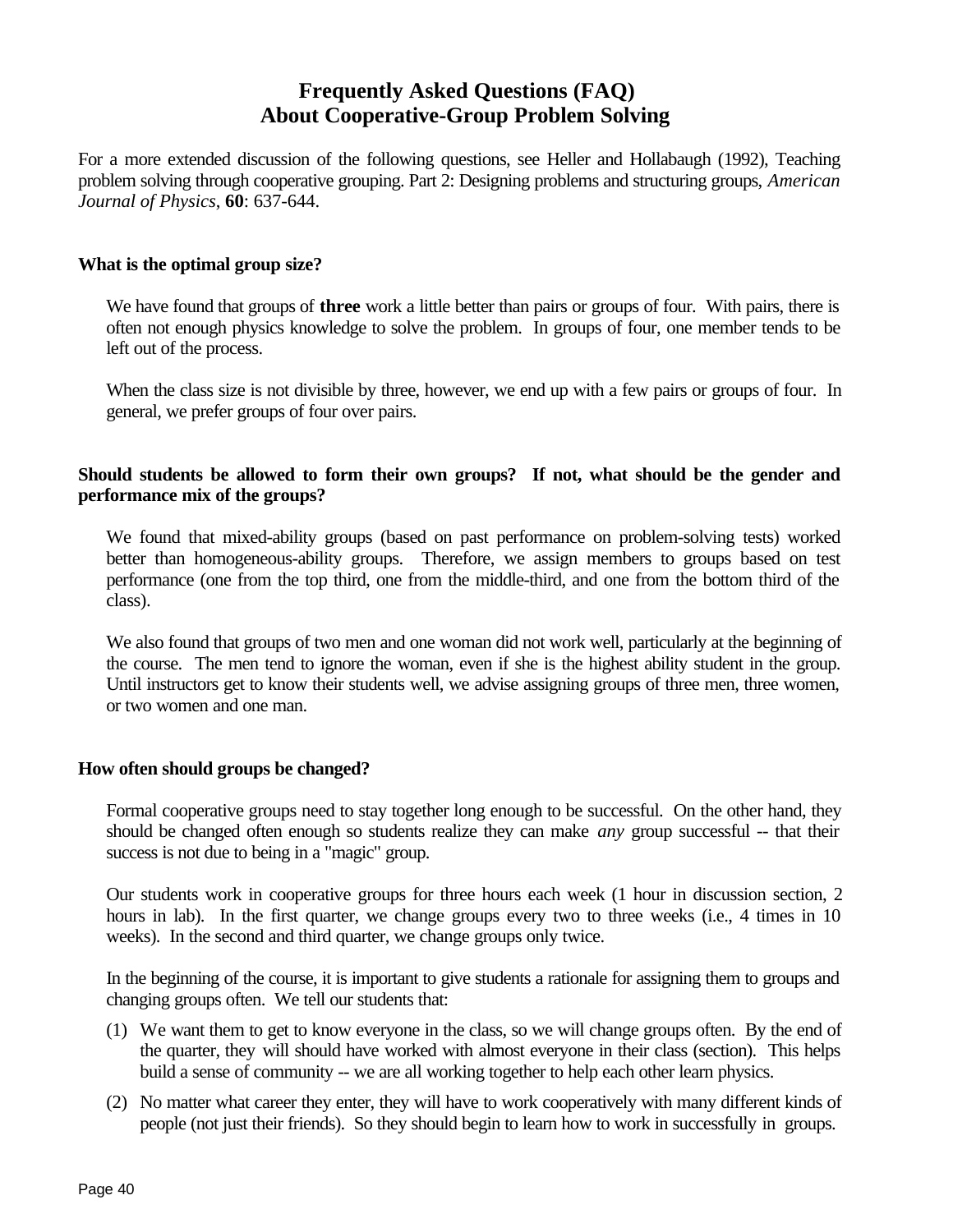### **Frequently Asked Questions (FAQ) About Cooperative-Group Problem Solving**

For a more extended discussion of the following questions, see Heller and Hollabaugh (1992), Teaching problem solving through cooperative grouping. Part 2: Designing problems and structuring groups, *American Journal of Physics*, **60**: 637-644.

### **What is the optimal group size?**

We have found that groups of **three** work a little better than pairs or groups of four. With pairs, there is often not enough physics knowledge to solve the problem. In groups of four, one member tends to be left out of the process.

When the class size is not divisible by three, however, we end up with a few pairs or groups of four. In general, we prefer groups of four over pairs.

### **Should students be allowed to form their own groups? If not, what should be the gender and performance mix of the groups?**

We found that mixed-ability groups (based on past performance on problem-solving tests) worked better than homogeneous-ability groups. Therefore, we assign members to groups based on test performance (one from the top third, one from the middle-third, and one from the bottom third of the class).

We also found that groups of two men and one woman did not work well, particularly at the beginning of the course. The men tend to ignore the woman, even if she is the highest ability student in the group. Until instructors get to know their students well, we advise assigning groups of three men, three women, or two women and one man.

#### **How often should groups be changed?**

Formal cooperative groups need to stay together long enough to be successful. On the other hand, they should be changed often enough so students realize they can make *any* group successful -- that their success is not due to being in a "magic" group.

Our students work in cooperative groups for three hours each week (1 hour in discussion section, 2 hours in lab). In the first quarter, we change groups every two to three weeks (i.e., 4 times in 10 weeks). In the second and third quarter, we change groups only twice.

In the beginning of the course, it is important to give students a rationale for assigning them to groups and changing groups often. We tell our students that:

- (1) We want them to get to know everyone in the class, so we will change groups often. By the end of the quarter, they will should have worked with almost everyone in their class (section). This helps build a sense of community -- we are all working together to help each other learn physics.
- (2) No matter what career they enter, they will have to work cooperatively with many different kinds of people (not just their friends). So they should begin to learn how to work in successfully in groups.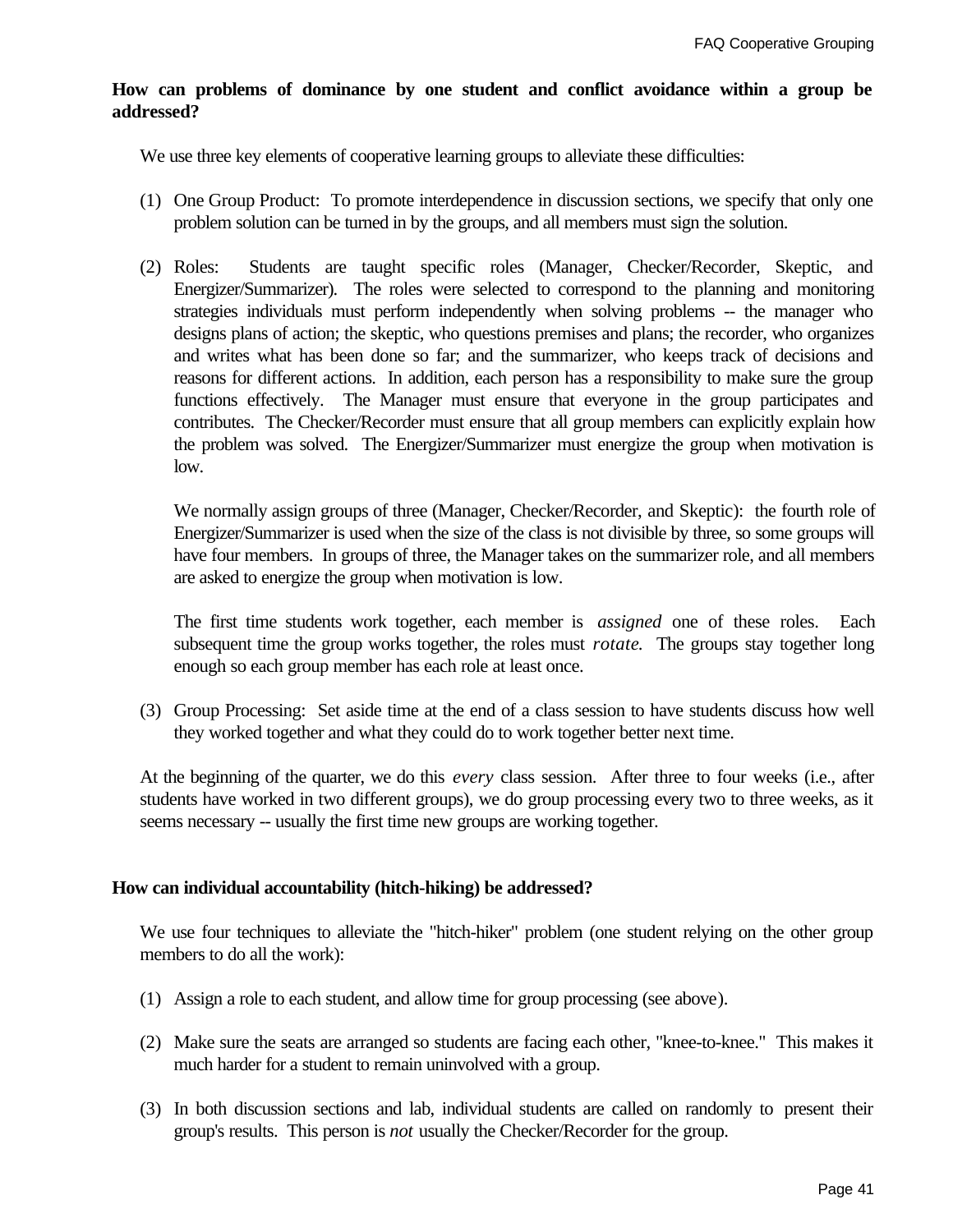### **How can problems of dominance by one student and conflict avoidance within a group be addressed?**

We use three key elements of cooperative learning groups to alleviate these difficulties:

- (1) One Group Product: To promote interdependence in discussion sections, we specify that only one problem solution can be turned in by the groups, and all members must sign the solution.
- (2) Roles: Students are taught specific roles (Manager, Checker/Recorder, Skeptic, and Energizer/Summarizer). The roles were selected to correspond to the planning and monitoring strategies individuals must perform independently when solving problems -- the manager who designs plans of action; the skeptic, who questions premises and plans; the recorder, who organizes and writes what has been done so far; and the summarizer, who keeps track of decisions and reasons for different actions. In addition, each person has a responsibility to make sure the group functions effectively. The Manager must ensure that everyone in the group participates and contributes. The Checker/Recorder must ensure that all group members can explicitly explain how the problem was solved. The Energizer/Summarizer must energize the group when motivation is low.

We normally assign groups of three (Manager, Checker/Recorder, and Skeptic): the fourth role of Energizer/Summarizer is used when the size of the class is not divisible by three, so some groups will have four members. In groups of three, the Manager takes on the summarizer role, and all members are asked to energize the group when motivation is low.

The first time students work together, each member is *assigned* one of these roles. Each subsequent time the group works together, the roles must *rotate*. The groups stay together long enough so each group member has each role at least once.

(3) Group Processing: Set aside time at the end of a class session to have students discuss how well they worked together and what they could do to work together better next time.

At the beginning of the quarter, we do this *every* class session. After three to four weeks (i.e., after students have worked in two different groups), we do group processing every two to three weeks, as it seems necessary -- usually the first time new groups are working together.

### **How can individual accountability (hitch-hiking) be addressed?**

We use four techniques to alleviate the "hitch-hiker" problem (one student relying on the other group members to do all the work):

- (1) Assign a role to each student, and allow time for group processing (see above).
- (2) Make sure the seats are arranged so students are facing each other, "knee-to-knee." This makes it much harder for a student to remain uninvolved with a group.
- (3) In both discussion sections and lab, individual students are called on randomly to present their group's results. This person is *not* usually the Checker/Recorder for the group.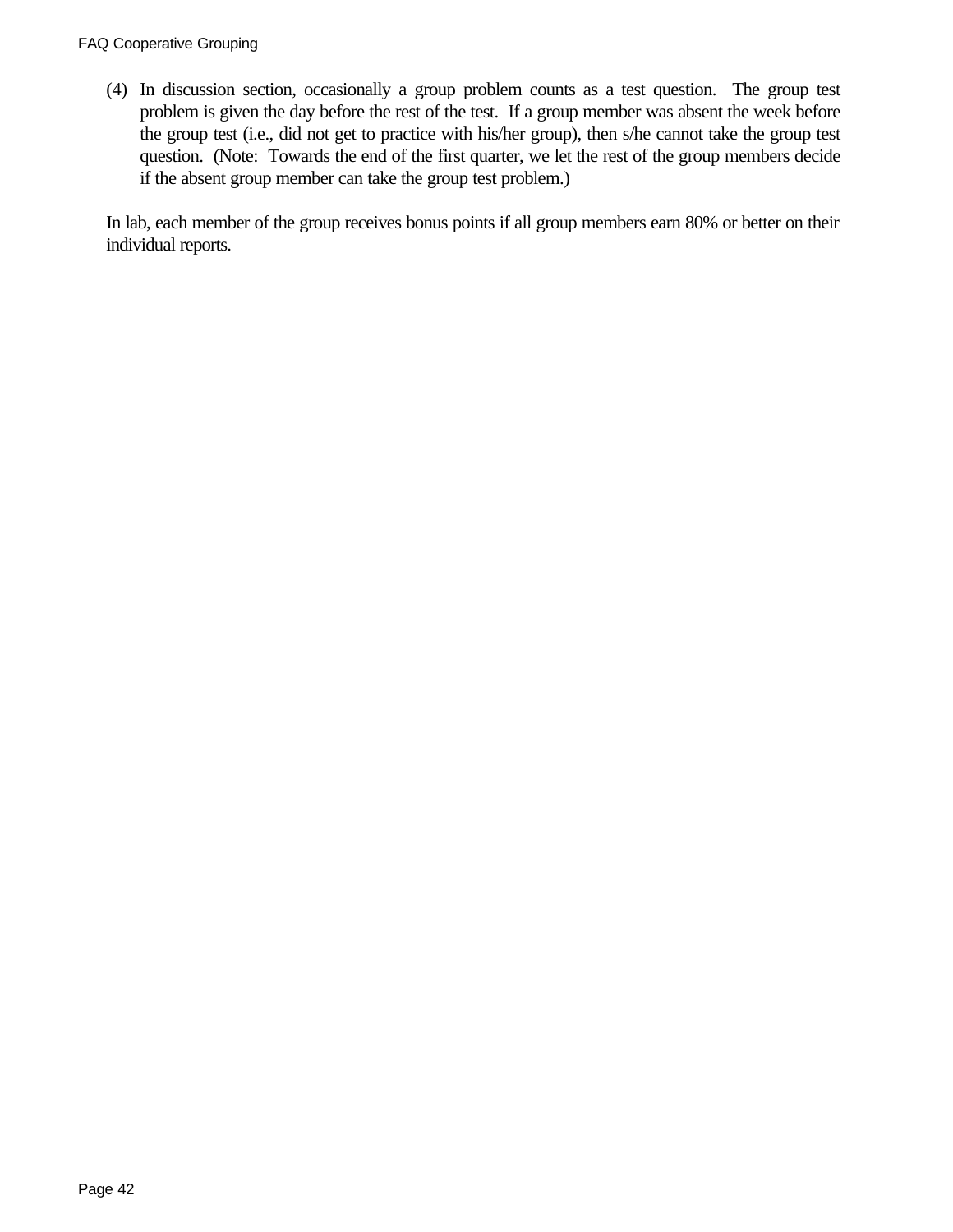### FAQ Cooperative Grouping

(4) In discussion section, occasionally a group problem counts as a test question. The group test problem is given the day before the rest of the test. If a group member was absent the week before the group test (i.e., did not get to practice with his/her group), then s/he cannot take the group test question. (Note: Towards the end of the first quarter, we let the rest of the group members decide if the absent group member can take the group test problem.)

In lab, each member of the group receives bonus points if all group members earn 80% or better on their individual reports.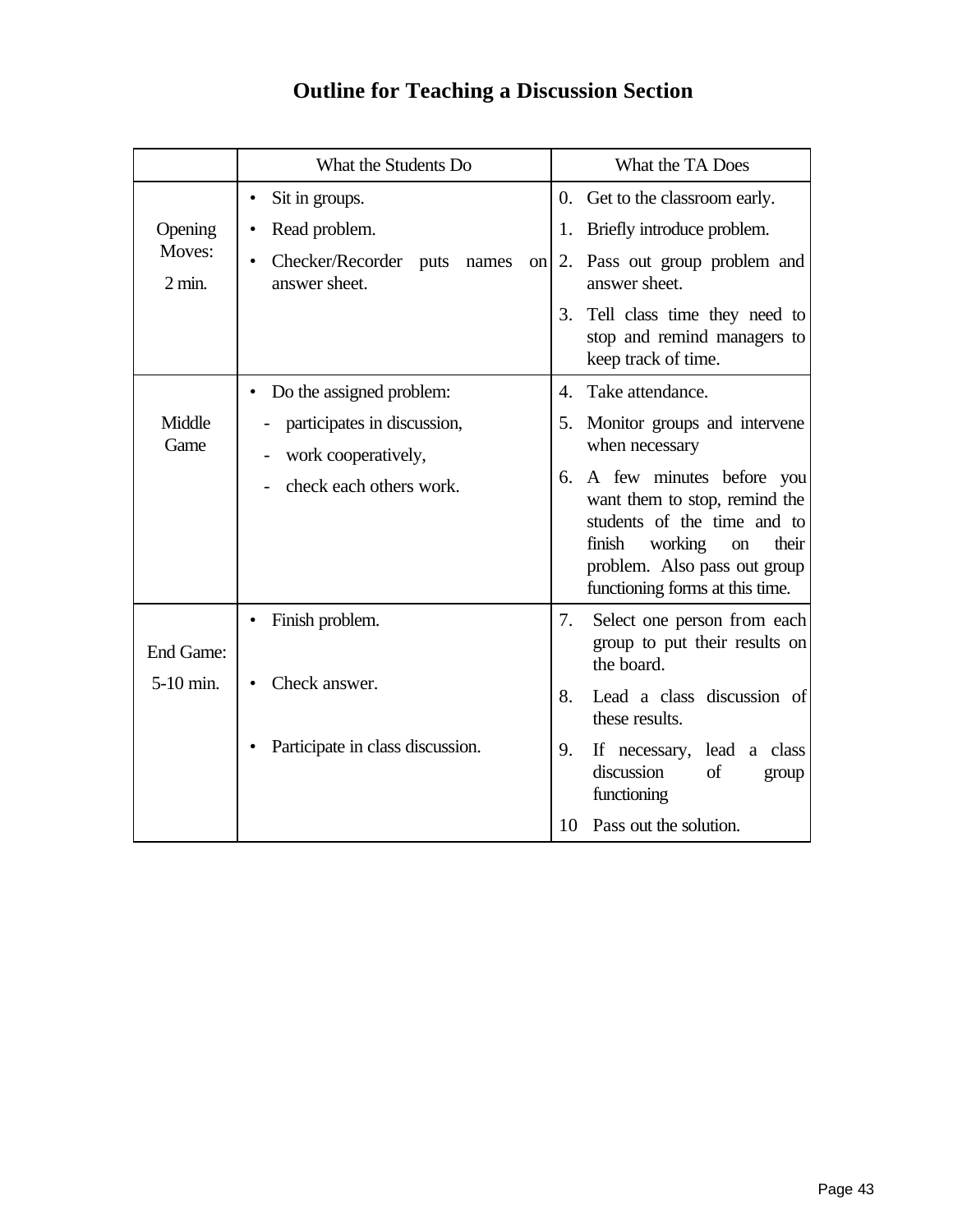## **Outline for Teaching a Discussion Section**

|                            | What the Students Do                                                  | What the TA Does                                                                                                                                                                                      |
|----------------------------|-----------------------------------------------------------------------|-------------------------------------------------------------------------------------------------------------------------------------------------------------------------------------------------------|
|                            | Sit in groups.<br>٠                                                   | 0. Get to the classroom early.                                                                                                                                                                        |
| Opening                    | Read problem.<br>٠                                                    | Briefly introduce problem.<br>1.                                                                                                                                                                      |
| Moves:<br>$2 \text{ min.}$ | Checker/Recorder<br>puts<br>$\bullet$<br>names<br>on<br>answer sheet. | Pass out group problem and<br>2.<br>answer sheet.                                                                                                                                                     |
|                            |                                                                       | Tell class time they need to<br>3.<br>stop and remind managers to<br>keep track of time.                                                                                                              |
|                            | Do the assigned problem:<br>٠                                         | Take attendance.<br>4.                                                                                                                                                                                |
| Middle<br>Game             | participates in discussion,<br>work cooperatively,                    | Monitor groups and intervene<br>5.<br>when necessary                                                                                                                                                  |
|                            | check each others work.                                               | A few minutes before you<br>6.<br>want them to stop, remind the<br>students of the time and to<br>finish<br>working<br>their<br>on<br>problem. Also pass out group<br>functioning forms at this time. |
| End Game:                  | Finish problem.                                                       | 7.<br>Select one person from each<br>group to put their results on<br>the board.                                                                                                                      |
| 5-10 min.                  | Check answer.                                                         | 8.<br>Lead a class discussion of<br>these results.                                                                                                                                                    |
|                            | Participate in class discussion.                                      | 9.<br>lead a class<br>If necessary,<br>discussion<br>of<br>group<br>functioning                                                                                                                       |
|                            |                                                                       | Pass out the solution.<br>10                                                                                                                                                                          |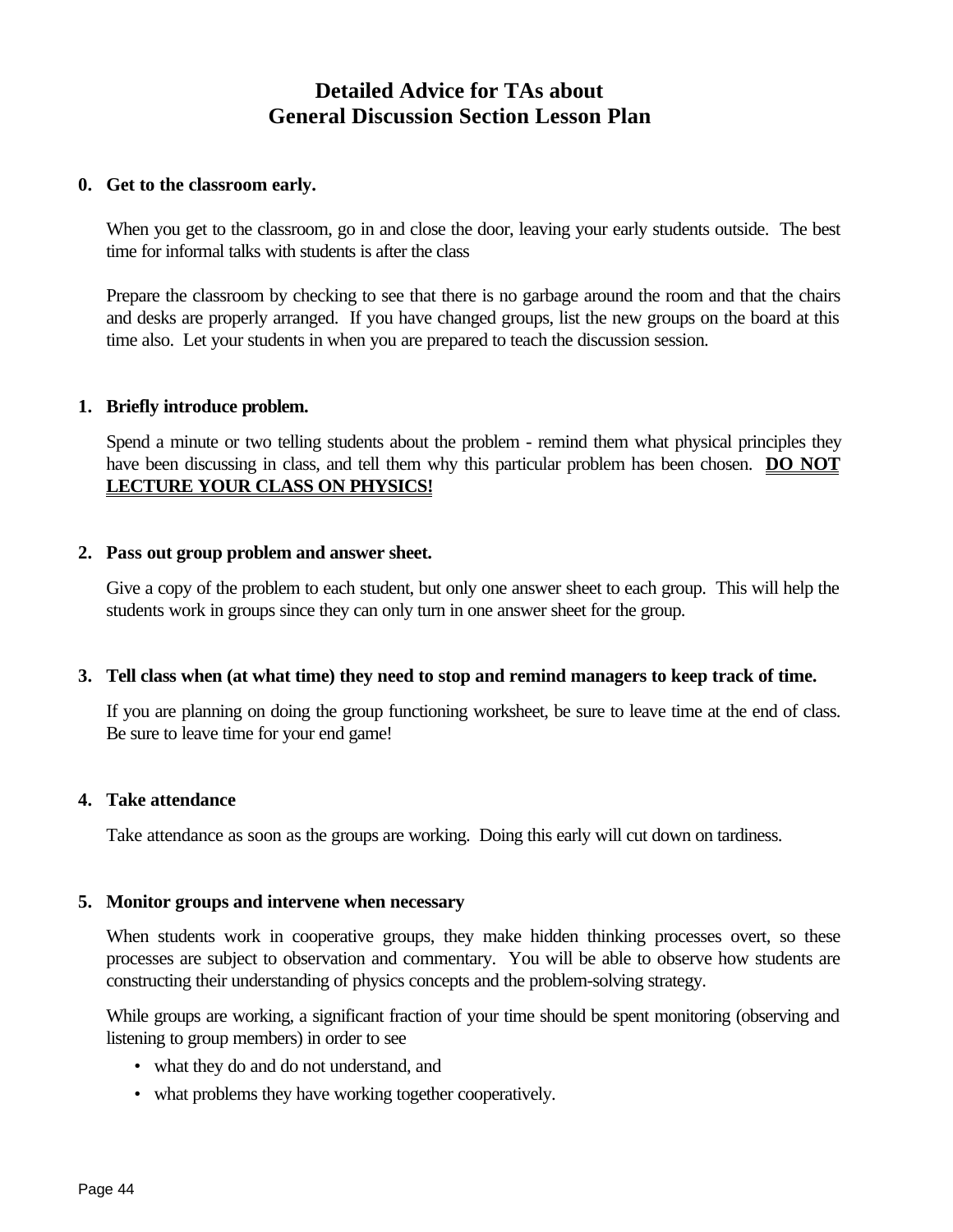### **Detailed Advice for TAs about General Discussion Section Lesson Plan**

### **0. Get to the classroom early.**

When you get to the classroom, go in and close the door, leaving your early students outside. The best time for informal talks with students is after the class

Prepare the classroom by checking to see that there is no garbage around the room and that the chairs and desks are properly arranged. If you have changed groups, list the new groups on the board at this time also. Let your students in when you are prepared to teach the discussion session.

### **1. Briefly introduce problem.**

Spend a minute or two telling students about the problem - remind them what physical principles they have been discussing in class, and tell them why this particular problem has been chosen. **DO NOT LECTURE YOUR CLASS ON PHYSICS!**

### **2. Pass out group problem and answer sheet.**

Give a copy of the problem to each student, but only one answer sheet to each group. This will help the students work in groups since they can only turn in one answer sheet for the group.

### **3. Tell class when (at what time) they need to stop and remind managers to keep track of time.**

If you are planning on doing the group functioning worksheet, be sure to leave time at the end of class. Be sure to leave time for your end game!

### **4. Take attendance**

Take attendance as soon as the groups are working. Doing this early will cut down on tardiness.

#### **5. Monitor groups and intervene when necessary**

When students work in cooperative groups, they make hidden thinking processes overt, so these processes are subject to observation and commentary. You will be able to observe how students are constructing their understanding of physics concepts and the problem-solving strategy.

While groups are working, a significant fraction of your time should be spent monitoring (observing and listening to group members) in order to see

- what they do and do not understand, and
- what problems they have working together cooperatively.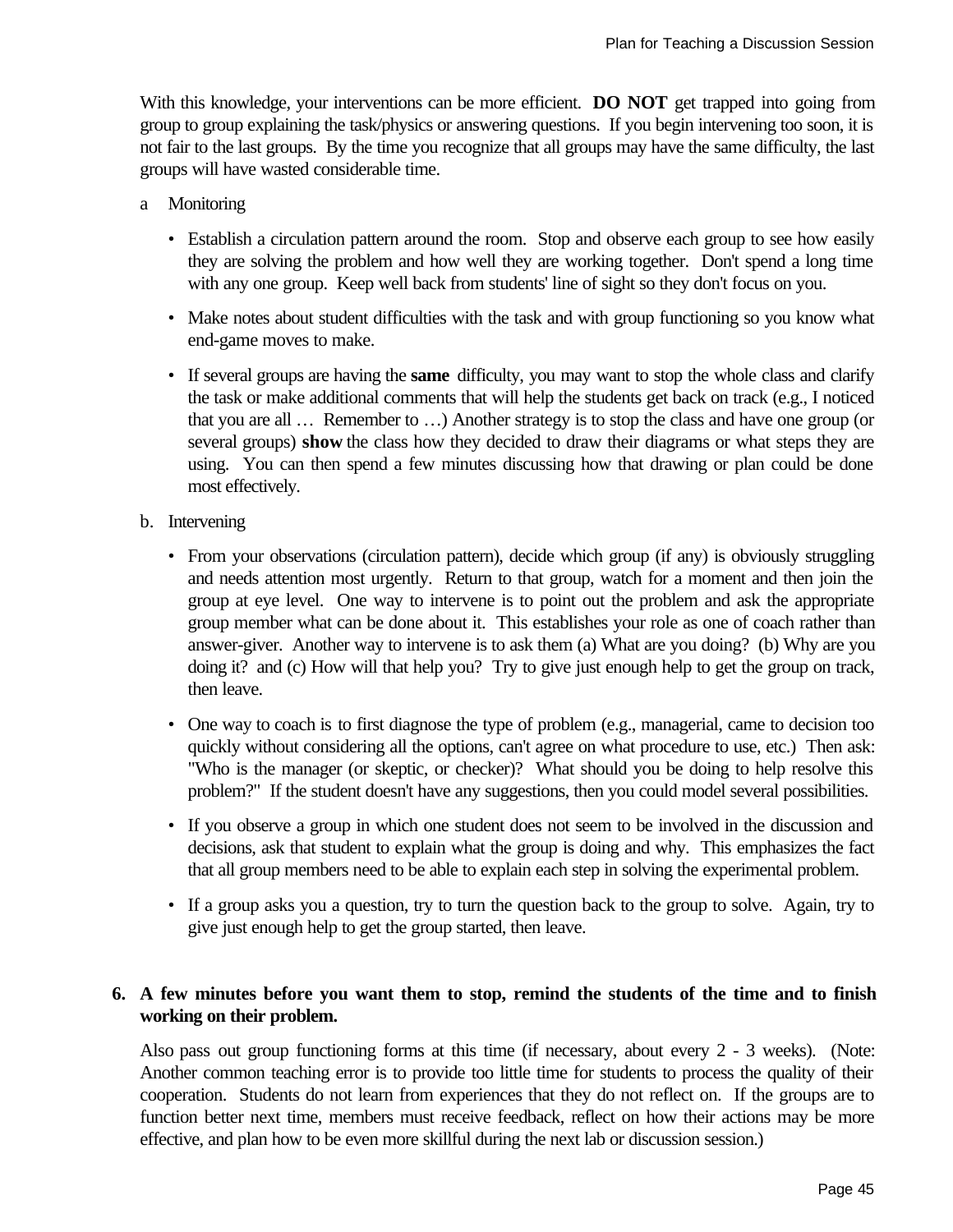With this knowledge, your interventions can be more efficient. **DO NOT** get trapped into going from group to group explaining the task/physics or answering questions. If you begin intervening too soon, it is not fair to the last groups. By the time you recognize that all groups may have the same difficulty, the last groups will have wasted considerable time.

- a Monitoring
	- Establish a circulation pattern around the room. Stop and observe each group to see how easily they are solving the problem and how well they are working together. Don't spend a long time with any one group. Keep well back from students' line of sight so they don't focus on you.
	- Make notes about student difficulties with the task and with group functioning so you know what end-game moves to make.
	- If several groups are having the **same** difficulty, you may want to stop the whole class and clarify the task or make additional comments that will help the students get back on track (e.g., I noticed that you are all … Remember to …) Another strategy is to stop the class and have one group (or several groups) **show** the class how they decided to draw their diagrams or what steps they are using. You can then spend a few minutes discussing how that drawing or plan could be done most effectively.
- b. Intervening
	- From your observations (circulation pattern), decide which group (if any) is obviously struggling and needs attention most urgently. Return to that group, watch for a moment and then join the group at eye level. One way to intervene is to point out the problem and ask the appropriate group member what can be done about it. This establishes your role as one of coach rather than answer-giver. Another way to intervene is to ask them (a) What are you doing? (b) Why are you doing it? and (c) How will that help you? Try to give just enough help to get the group on track, then leave.
	- One way to coach is to first diagnose the type of problem (e.g., managerial, came to decision too quickly without considering all the options, can't agree on what procedure to use, etc.) Then ask: "Who is the manager (or skeptic, or checker)? What should you be doing to help resolve this problem?" If the student doesn't have any suggestions, then you could model several possibilities.
	- If you observe a group in which one student does not seem to be involved in the discussion and decisions, ask that student to explain what the group is doing and why. This emphasizes the fact that all group members need to be able to explain each step in solving the experimental problem.
	- If a group asks you a question, try to turn the question back to the group to solve. Again, try to give just enough help to get the group started, then leave.

### **6. A few minutes before you want them to stop, remind the students of the time and to finish working on their problem.**

Also pass out group functioning forms at this time (if necessary, about every 2 - 3 weeks). (Note: Another common teaching error is to provide too little time for students to process the quality of their cooperation. Students do not learn from experiences that they do not reflect on. If the groups are to function better next time, members must receive feedback, reflect on how their actions may be more effective, and plan how to be even more skillful during the next lab or discussion session.)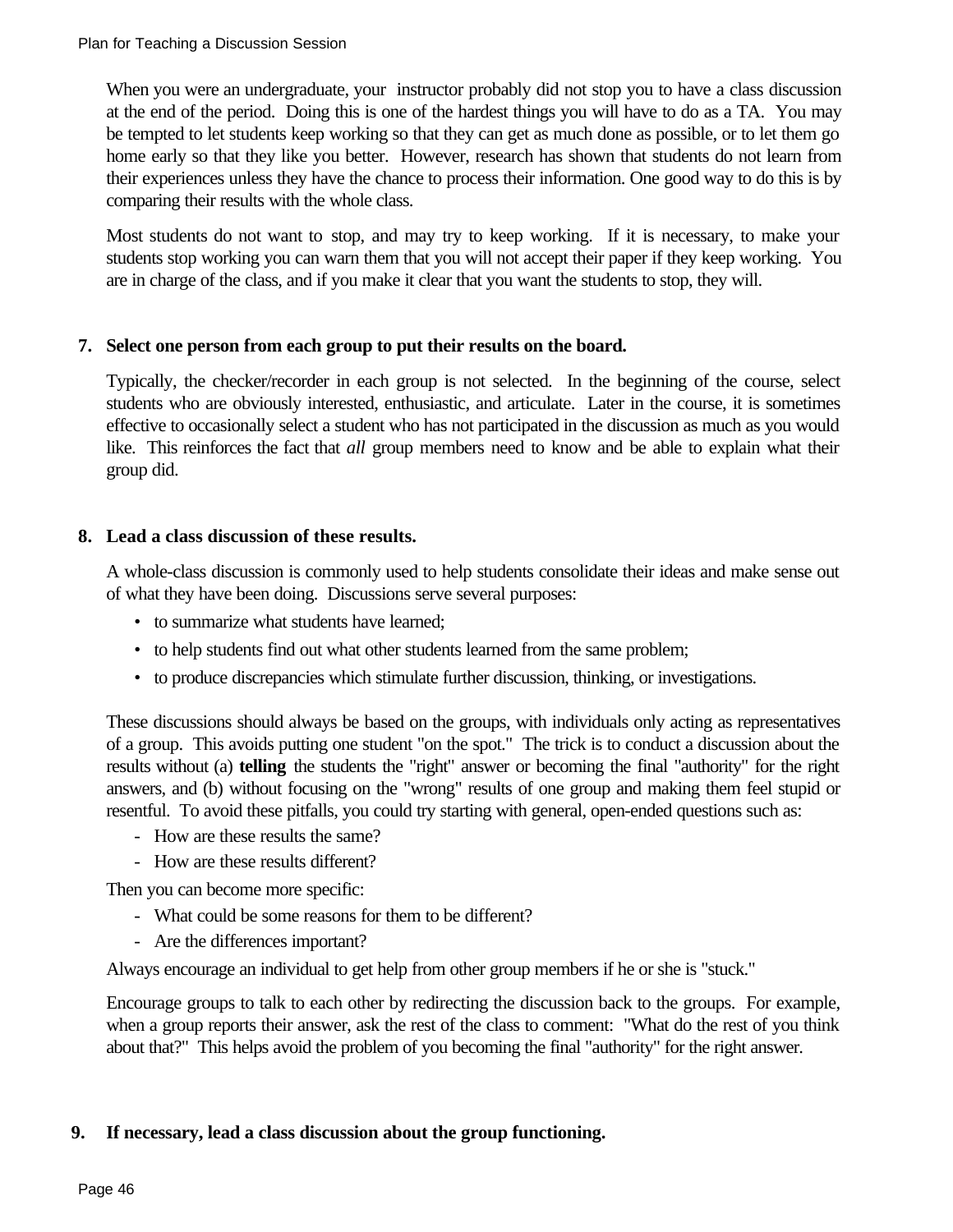When you were an undergraduate, your instructor probably did not stop you to have a class discussion at the end of the period. Doing this is one of the hardest things you will have to do as a TA. You may be tempted to let students keep working so that they can get as much done as possible, or to let them go home early so that they like you better. However, research has shown that students do not learn from their experiences unless they have the chance to process their information. One good way to do this is by comparing their results with the whole class.

Most students do not want to stop, and may try to keep working. If it is necessary, to make your students stop working you can warn them that you will not accept their paper if they keep working. You are in charge of the class, and if you make it clear that you want the students to stop, they will.

### **7. Select one person from each group to put their results on the board.**

Typically, the checker/recorder in each group is not selected. In the beginning of the course, select students who are obviously interested, enthusiastic, and articulate. Later in the course, it is sometimes effective to occasionally select a student who has not participated in the discussion as much as you would like. This reinforces the fact that *all* group members need to know and be able to explain what their group did.

### **8. Lead a class discussion of these results.**

A whole-class discussion is commonly used to help students consolidate their ideas and make sense out of what they have been doing. Discussions serve several purposes:

- to summarize what students have learned;
- to help students find out what other students learned from the same problem;
- to produce discrepancies which stimulate further discussion, thinking, or investigations.

These discussions should always be based on the groups, with individuals only acting as representatives of a group. This avoids putting one student "on the spot." The trick is to conduct a discussion about the results without (a) **telling** the students the "right" answer or becoming the final "authority" for the right answers, and (b) without focusing on the "wrong" results of one group and making them feel stupid or resentful. To avoid these pitfalls, you could try starting with general, open-ended questions such as:

- How are these results the same?
- How are these results different?

Then you can become more specific:

- What could be some reasons for them to be different?
- Are the differences important?

Always encourage an individual to get help from other group members if he or she is "stuck."

Encourage groups to talk to each other by redirecting the discussion back to the groups. For example, when a group reports their answer, ask the rest of the class to comment: "What do the rest of you think about that?" This helps avoid the problem of you becoming the final "authority" for the right answer.

### **9. If necessary, lead a class discussion about the group functioning.**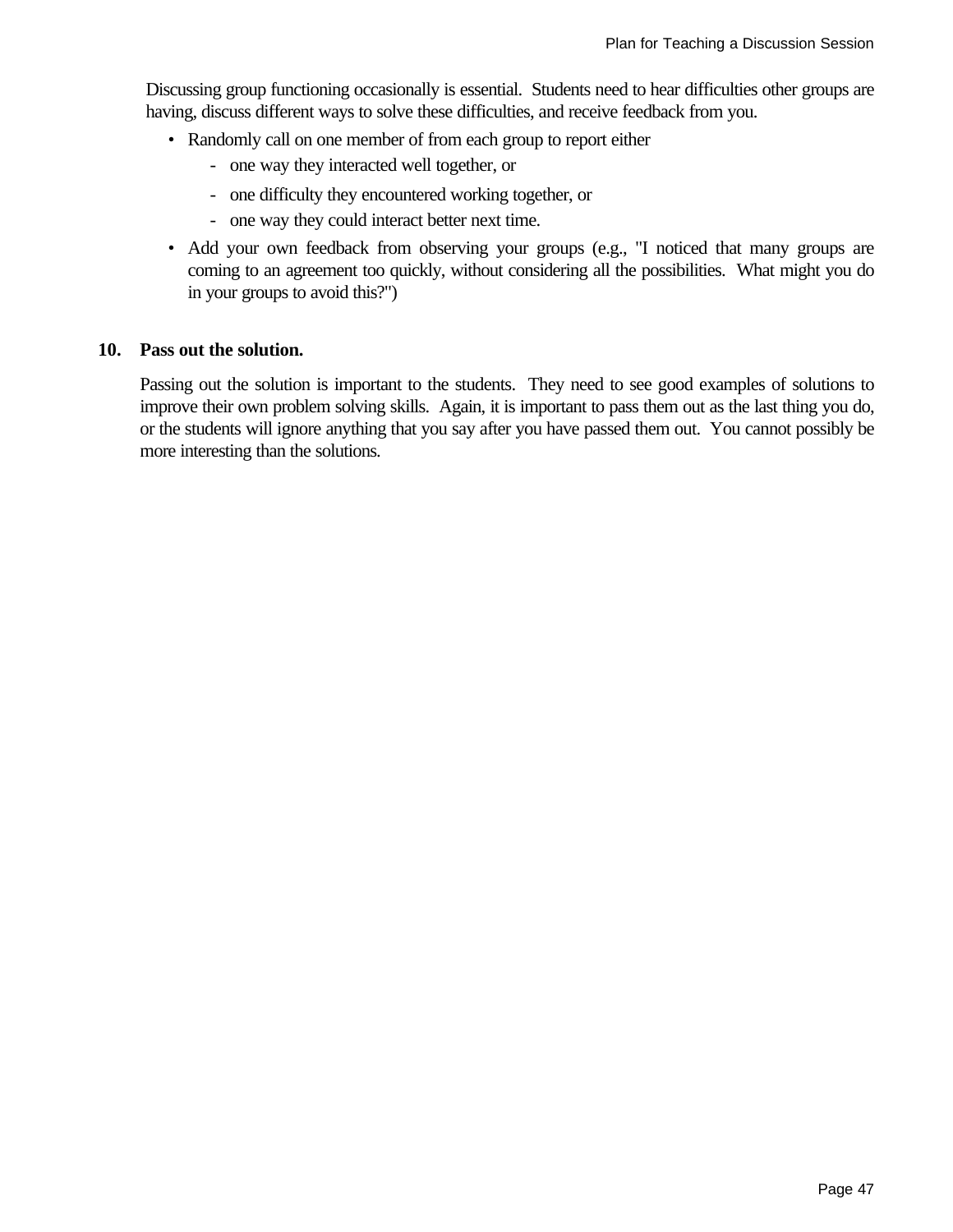Discussing group functioning occasionally is essential. Students need to hear difficulties other groups are having, discuss different ways to solve these difficulties, and receive feedback from you.

- Randomly call on one member of from each group to report either
	- one way they interacted well together, or
	- one difficulty they encountered working together, or
	- one way they could interact better next time.
- Add your own feedback from observing your groups (e.g., "I noticed that many groups are coming to an agreement too quickly, without considering all the possibilities. What might you do in your groups to avoid this?")

### **10. Pass out the solution.**

Passing out the solution is important to the students. They need to see good examples of solutions to improve their own problem solving skills. Again, it is important to pass them out as the last thing you do, or the students will ignore anything that you say after you have passed them out. You cannot possibly be more interesting than the solutions.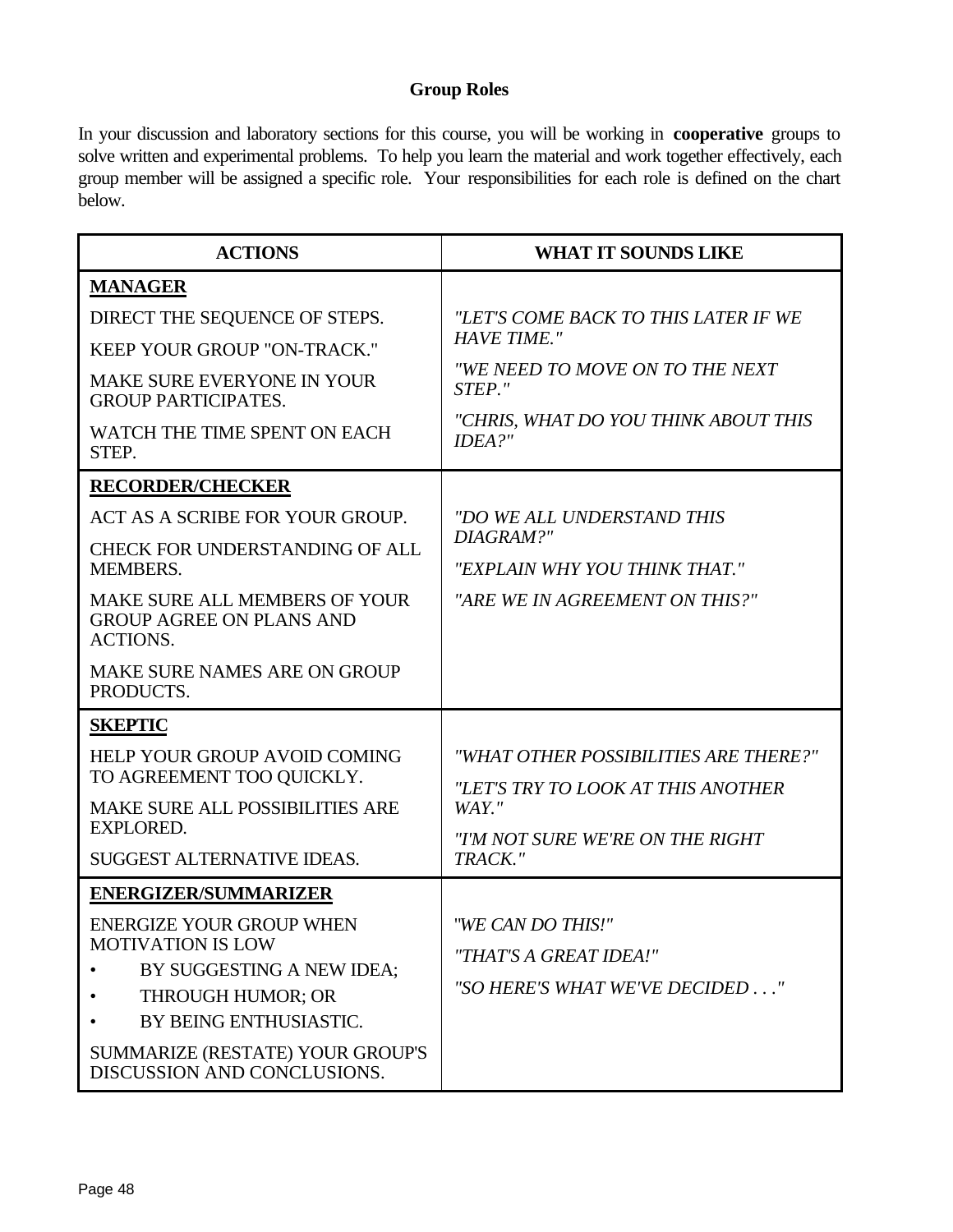### **Group Roles**

In your discussion and laboratory sections for this course, you will be working in **cooperative** groups to solve written and experimental problems. To help you learn the material and work together effectively, each group member will be assigned a specific role. Your responsibilities for each role is defined on the chart below.

| <b>ACTIONS</b>                                                                             | <b>WHAT IT SOUNDS LIKE</b>                                                  |
|--------------------------------------------------------------------------------------------|-----------------------------------------------------------------------------|
| <b>MANAGER</b>                                                                             |                                                                             |
| DIRECT THE SEQUENCE OF STEPS.                                                              | "LET'S COME BACK TO THIS LATER IF WE                                        |
| <b>KEEP YOUR GROUP "ON-TRACK."</b>                                                         | <b>HAVE TIME."</b>                                                          |
| MAKE SURE EVERYONE IN YOUR<br><b>GROUP PARTICIPATES.</b>                                   | "WE NEED TO MOVE ON TO THE NEXT<br>STEP."                                   |
| WATCH THE TIME SPENT ON EACH<br>STEP.                                                      | "CHRIS, WHAT DO YOU THINK ABOUT THIS<br>IDEA?"                              |
| <b>RECORDER/CHECKER</b>                                                                    |                                                                             |
| ACT AS A SCRIBE FOR YOUR GROUP.                                                            | "DO WE ALL UNDERSTAND THIS                                                  |
| <b>CHECK FOR UNDERSTANDING OF ALL</b>                                                      | DIAGRAM?"                                                                   |
| <b>MEMBERS.</b>                                                                            | "EXPLAIN WHY YOU THINK THAT."                                               |
| <b>MAKE SURE ALL MEMBERS OF YOUR</b><br><b>GROUP AGREE ON PLANS AND</b><br><b>ACTIONS.</b> | "ARE WE IN AGREEMENT ON THIS?"                                              |
| MAKE SURE NAMES ARE ON GROUP<br>PRODUCTS.                                                  |                                                                             |
| <b>SKEPTIC</b>                                                                             |                                                                             |
| <b>HELP YOUR GROUP AVOID COMING</b><br>TO AGREEMENT TOO QUICKLY.                           | "WHAT OTHER POSSIBILITIES ARE THERE?"<br>"LET'S TRY TO LOOK AT THIS ANOTHER |
| MAKE SURE ALL POSSIBILITIES ARE                                                            | $WAY.$ "                                                                    |
| <b>EXPLORED.</b>                                                                           | "I'M NOT SURE WE'RE ON THE RIGHT                                            |
| SUGGEST ALTERNATIVE IDEAS.                                                                 | TRACK."                                                                     |
| <b>ENERGIZER/SUMMARIZER</b>                                                                |                                                                             |
| <b>ENERGIZE YOUR GROUP WHEN</b><br><b>MOTIVATION IS LOW</b>                                | "WE CAN DO THIS!"                                                           |
| BY SUGGESTING A NEW IDEA;                                                                  | "THAT'S A GREAT IDEA!"                                                      |
| THROUGH HUMOR; OR                                                                          | "SO HERE'S WHAT WE'VE DECIDED"                                              |
| BY BEING ENTHUSIASTIC.                                                                     |                                                                             |
| SUMMARIZE (RESTATE) YOUR GROUP'S<br>DISCUSSION AND CONCLUSIONS.                            |                                                                             |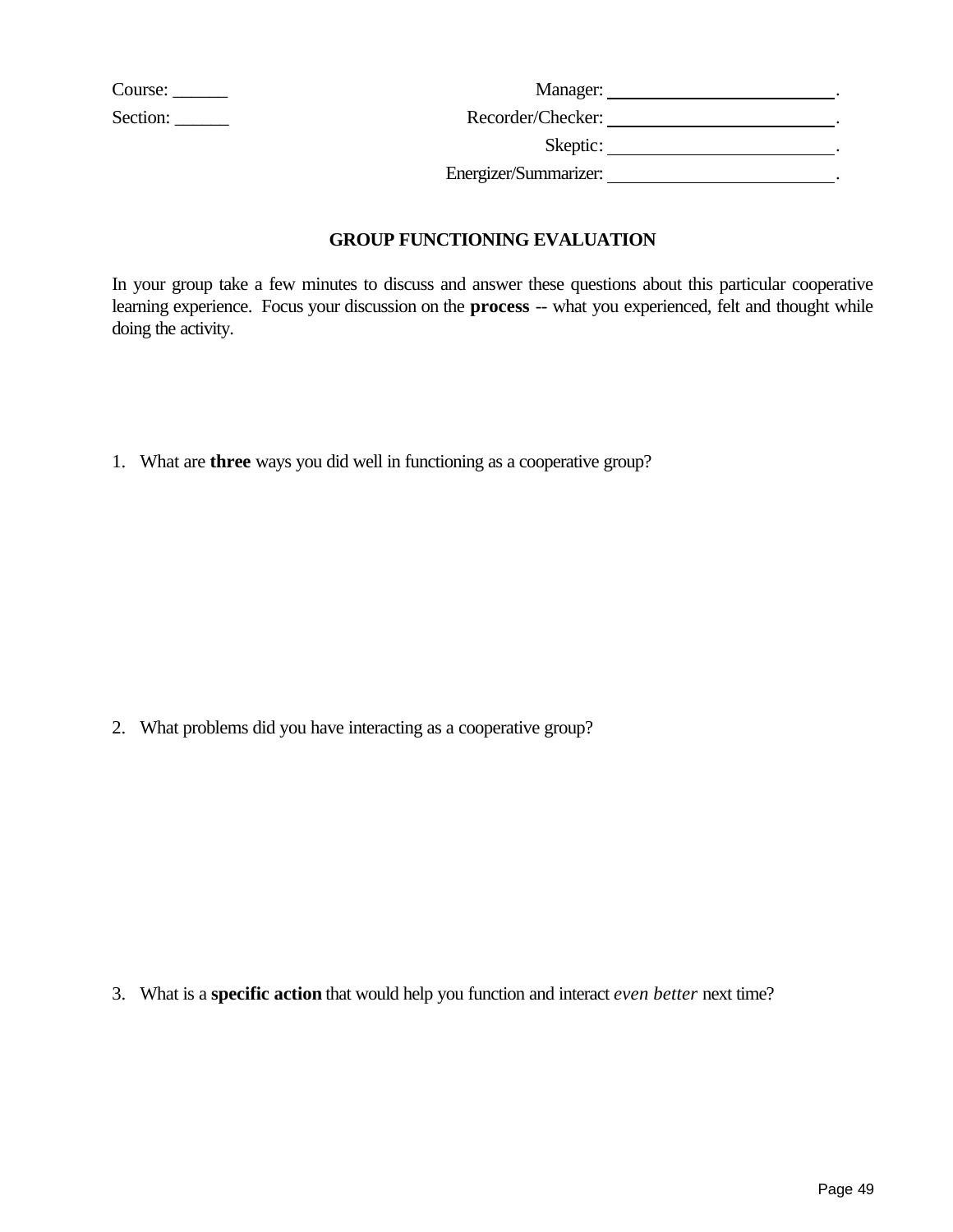| Course:  |  |
|----------|--|
| Section: |  |

| Manager:              | Course:          |
|-----------------------|------------------|
| Recorder/Checker:     | Section: _______ |
| Skeptic:              |                  |
| Energizer/Summarizer: |                  |

### **GROUP FUNCTIONING EVALUATION**

In your group take a few minutes to discuss and answer these questions about this particular cooperative learning experience. Focus your discussion on the **process** -- what you experienced, felt and thought while doing the activity.

1. What are **three** ways you did well in functioning as a cooperative group?

2. What problems did you have interacting as a cooperative group?

3. What is a **specific action** that would help you function and interact *even better* next time?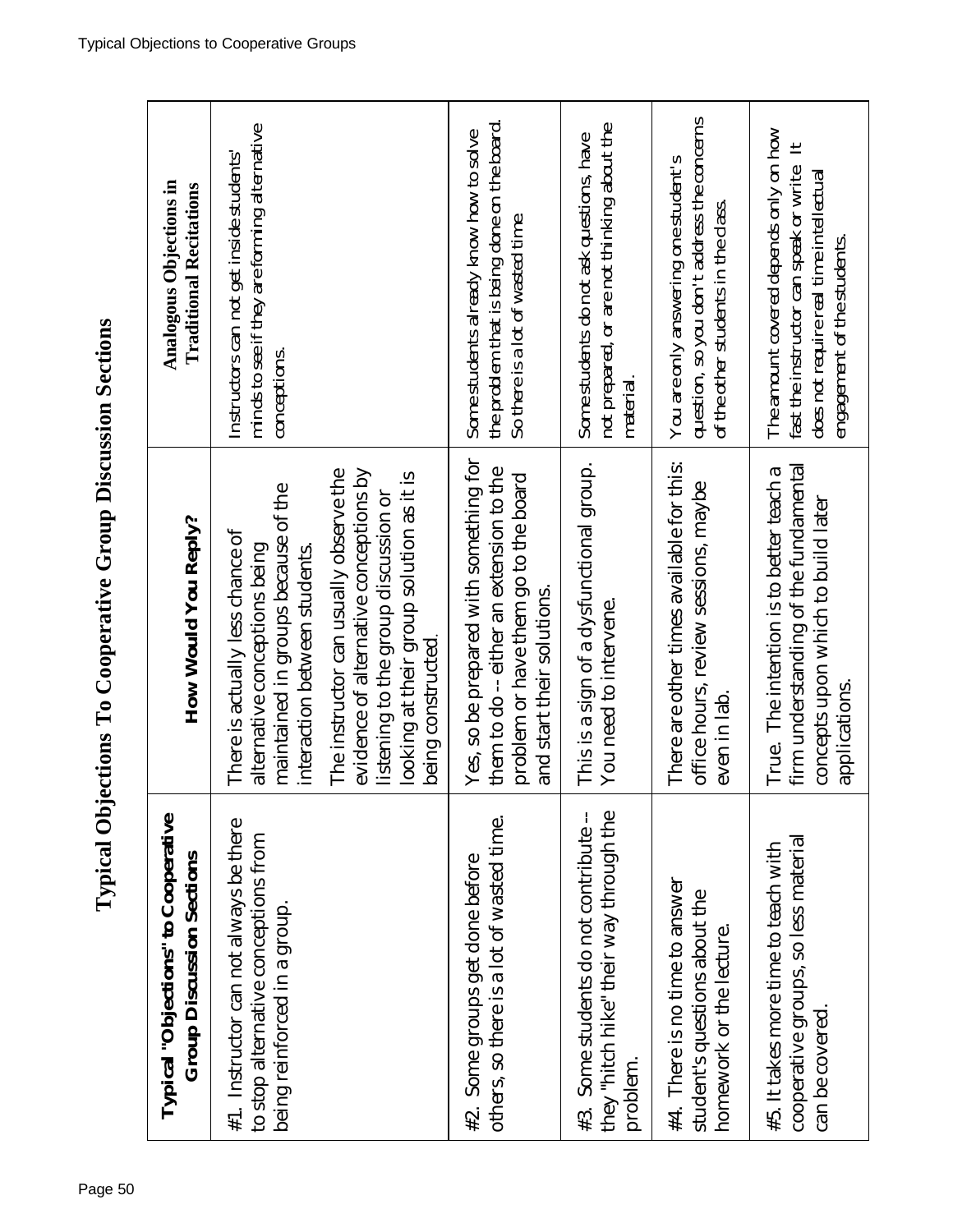| Typical "Objections" to Cooperative<br><b>Group Discussion Sections</b>                                        | How Would You Reply?                                                                                                                                                                                                                                                                                                                    | Analogous Objections in<br><b>Traditional Recitations</b>                                                                                                                   |
|----------------------------------------------------------------------------------------------------------------|-----------------------------------------------------------------------------------------------------------------------------------------------------------------------------------------------------------------------------------------------------------------------------------------------------------------------------------------|-----------------------------------------------------------------------------------------------------------------------------------------------------------------------------|
| #1. Instructor can not always be there<br>to stop alternative conceptions from<br>being reinforced in a group. | evidence of alternative conceptions by<br>The instructor can usually observe the<br>looking at their group solution as it is<br>maintained in groups because of the<br>listening to the group discussion or<br>There is actually less chance of<br>alternative conceptions being<br>interaction between students.<br>being constructed. | minds to see if they are forming alternative<br>Instructors can not get inside students'<br>conceptions.                                                                    |
| others, so there is a lot of wasted time.<br>#2. Some groups get done before                                   | Yes, so be prepared with something for<br>them to do -- either an extension to the<br>problem or have them go to the board<br>and start their solutions.                                                                                                                                                                                | the problem that is being done on the board.<br>Some students already know how to solve<br>So there is a lot of wasted time.                                                |
| they "hitch hike" their way through the<br>#3. Some students do not contribute --<br>problem.                  | This is a sign of a dysfunctional group.<br>You need to intervene.                                                                                                                                                                                                                                                                      | not prepared, or are not thinking about the<br>Some students do not ask questions, have<br>material                                                                         |
| #4. There is no time to answer<br>student's questions about the<br>homework or the lecture.                    | There are other times available for this:<br>office hours, review sessions, maybe<br>even in lab.                                                                                                                                                                                                                                       | question, so you don't address the concerns<br>You are only answering one student's<br>of the other students in the class.                                                  |
| cooperative groups, so less material<br>#5. It takes more time to teach with<br>can be covered.                | firm understanding of the fundamental<br>True. The intention is to better teach a<br>concepts upon which to build later<br>applications.                                                                                                                                                                                                | The amount covered depends only on how<br>$\mathbf{H}$<br>fast the instructor can speak or write.<br>does not require real time intellectual<br>engagement of the students. |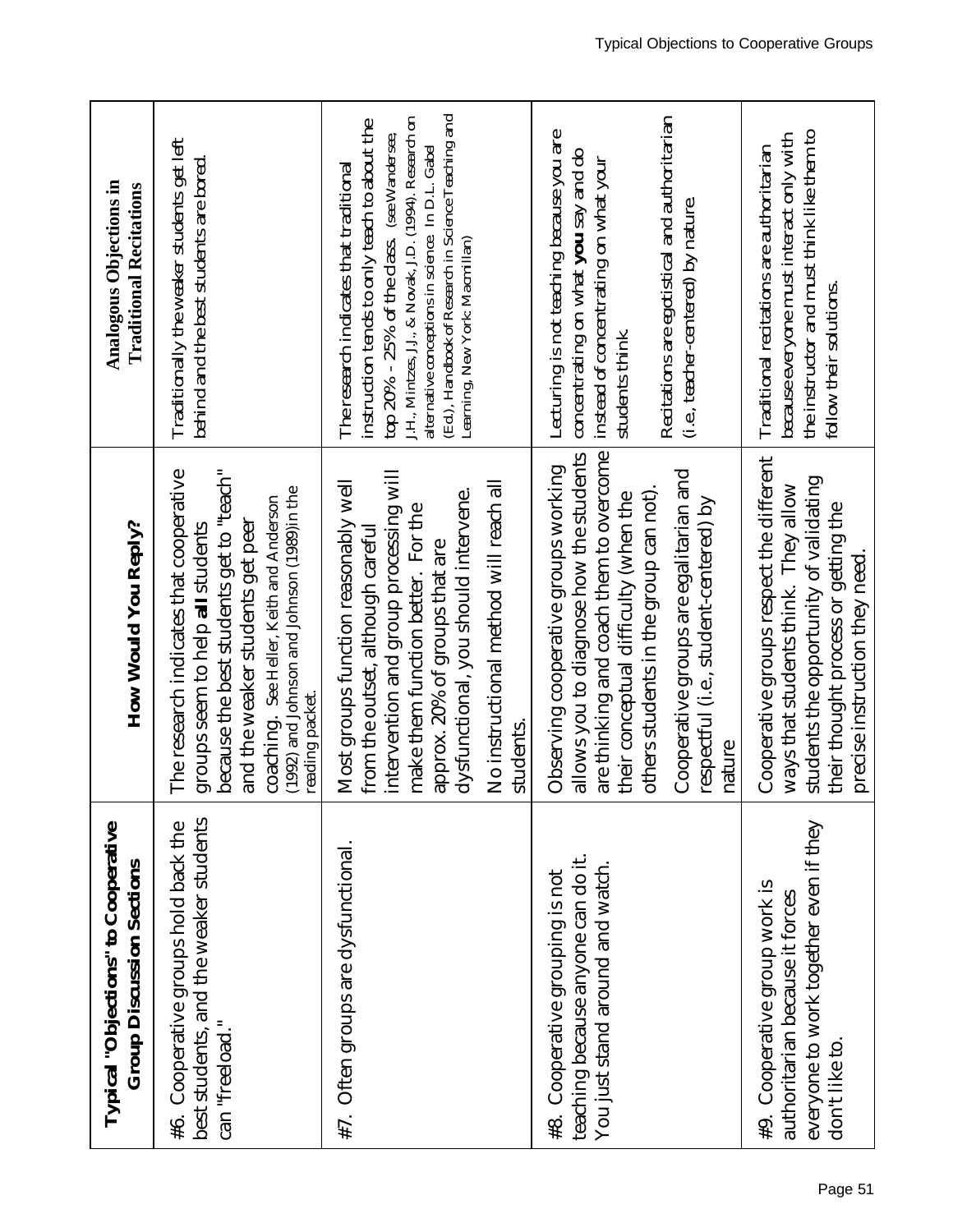| Typical "Objections" to Cooperative<br><b>Group Discussion Sections</b>                                                      | How Would You Reply?                                                                                                                                                                                                                                                                                        | Analogous Objections in<br><b>Traditional Recitations</b>                                                                                                                                                                                                                                                                                            |
|------------------------------------------------------------------------------------------------------------------------------|-------------------------------------------------------------------------------------------------------------------------------------------------------------------------------------------------------------------------------------------------------------------------------------------------------------|------------------------------------------------------------------------------------------------------------------------------------------------------------------------------------------------------------------------------------------------------------------------------------------------------------------------------------------------------|
| best students, and the weaker students<br>Cooperative groups hold back the<br>can "freeload."<br>#6.                         | because the best students get to "teach"<br>The research indicates that cooperative<br>(1992) and Johnson and Johnson (1989)in the<br>coaching. See Heller, Keith and Anderson<br>and the weaker students get peer<br>groups seem to help all students<br>reading packet.                                   | Traditionally the weaker students get left<br>behind and the best students are bored.                                                                                                                                                                                                                                                                |
| #7. Often groups are dysfunctional.                                                                                          | intervention and group processing will<br>Most groups function reasonably well<br>No instructional method will reach all<br>dysfunctional, you should intervene.<br>make them function better. For the<br>from the outset, although careful<br>approx. 20% of groups that are<br>students.                  | (Ed.), Handbook of Research in Science Teaching and<br>J.H., Mintzes, J.J., & Novak, J.D. (1994). Research on<br>instruction tends to only teach to about the<br>top $20\%$ - $25\%$ of the class. (see Wandersee,<br>alternative conceptions in science. In D.L. Gabel<br>The research indicates that traditional<br>Learning, New York: Macmillan) |
| teaching because anyone can do it.<br>You just stand around and watch.<br>#8. Cooperative grouping is not                    | are thinking and coach them to overcome<br>allows you to diagnose how the students<br>Observing cooperative groups working<br>Cooperative groups are egalitarian and<br>others students in the group can not).<br>their conceptual difficulty (when the<br>respectful (i.e., student-centered) by<br>nature | Recitations are egotistical and authoritarian<br>Lecturing is not teaching because you are<br>concentrating on what <b>you</b> say and do<br>instead of concentrating on what your<br>(i.e., teacher-centered) by nature.<br>students think.                                                                                                         |
| everyone to work together even if they<br>#9. Cooperative group work is<br>authoritarian because it forces<br>don't like to. | Cooperative groups respect the different<br>students the opportunity of validating<br>ways that students think. They allow<br>their thought process or getting the<br>precise instruction they need                                                                                                         | the instructor and must think like them to<br>because everyone must interact only with<br>Traditional recitations are authoritarian<br>follow their solutions.                                                                                                                                                                                       |